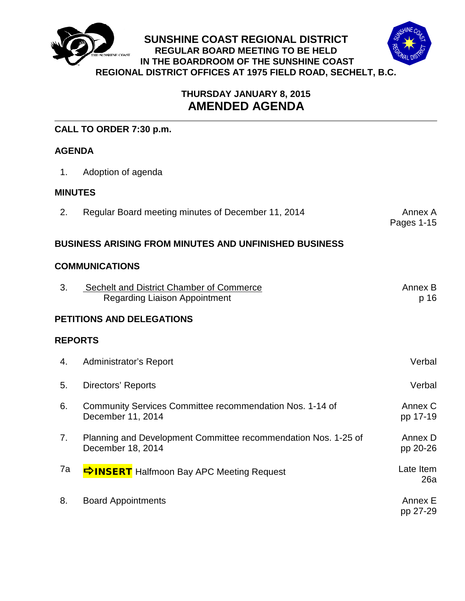

# **THURSDAY JANUARY 8, 2015 AMENDED AGENDA**

## **CALL TO ORDER 7:30 p.m.**

## **AGENDA**

1. Adoption of agenda

## **MINUTES**

2. Regular Board meeting minutes of December 11, 2014 **Annex A**nnex A Pages 1-15

## **BUSINESS ARISING FROM MINUTES AND UNFINISHED BUSINESS**

### **COMMUNICATIONS**

| Sechelt and District Chamber of Commerce | Annex B |
|------------------------------------------|---------|
| <b>Regarding Liaison Appointment</b>     | p 16    |

## **PETITIONS AND DELEGATIONS**

## **REPORTS**

| 4. | <b>Administrator's Report</b>                                                       | Verbal              |
|----|-------------------------------------------------------------------------------------|---------------------|
| 5. | Directors' Reports                                                                  | Verbal              |
| 6. | Community Services Committee recommendation Nos. 1-14 of<br>December 11, 2014       | Annex C<br>pp 17-19 |
| 7. | Planning and Development Committee recommendation Nos. 1-25 of<br>December 18, 2014 | Annex D<br>pp 20-26 |
| 7a | <b>EXAMPLE THE HALL THE HALL HALL HALL PROPERT</b> Halfmoon Bay APC Meeting Request | Late Item<br>26a    |
| 8. | <b>Board Appointments</b>                                                           | Annex E<br>pp 27-29 |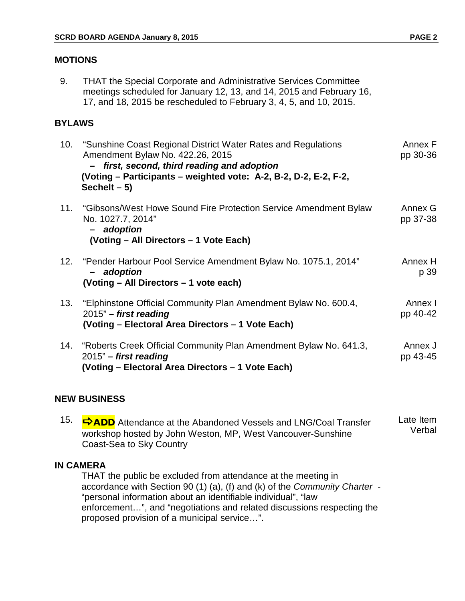#### **MOTIONS**

9. THAT the Special Corporate and Administrative Services Committee meetings scheduled for January 12, 13, and 14, 2015 and February 16, 17, and 18, 2015 be rescheduled to February 3, 4, 5, and 10, 2015.

### **BYLAWS**

| 10. | "Sunshine Coast Regional District Water Rates and Regulations<br>Amendment Bylaw No. 422.26, 2015<br>- first, second, third reading and adoption<br>(Voting – Participants – weighted vote: A-2, B-2, D-2, E-2, F-2,<br>Sechelt $-5$ ) | Annex F<br>pp 30-36 |
|-----|----------------------------------------------------------------------------------------------------------------------------------------------------------------------------------------------------------------------------------------|---------------------|
|     | 11. "Gibsons/West Howe Sound Fire Protection Service Amendment Bylaw<br>No. 1027.7, 2014"<br>- adoption<br>(Voting - All Directors - 1 Vote Each)                                                                                      | Annex G<br>pp 37-38 |
|     | 12. "Pender Harbour Pool Service Amendment Bylaw No. 1075.1, 2014"<br>- adoption<br>(Voting - All Directors - 1 vote each)                                                                                                             | Annex H<br>p 39     |
| 13. | "Elphinstone Official Community Plan Amendment Bylaw No. 600.4,<br>$2015"$ – first reading<br>(Voting – Electoral Area Directors – 1 Vote Each)                                                                                        | Annex I<br>pp 40-42 |
| 14. | "Roberts Creek Official Community Plan Amendment Bylaw No. 641.3,<br>$2015"$ – first reading<br>(Voting - Electoral Area Directors - 1 Vote Each)                                                                                      | Annex J<br>pp 43-45 |

### **NEW BUSINESS**

15. **⇒ADD** Attendance at the Abandoned Vessels and LNG/Coal Transfer workshop hosted by John Weston, MP, West Vancouver-Sunshine Coast-Sea to Sky Country Late Item Verbal

#### **IN CAMERA**

THAT the public be excluded from attendance at the meeting in accordance with Section 90 (1) (a), (f) and (k) of the *Community Charter -* "personal information about an identifiable individual", "law enforcement…", and "negotiations and related discussions respecting the proposed provision of a municipal service…".